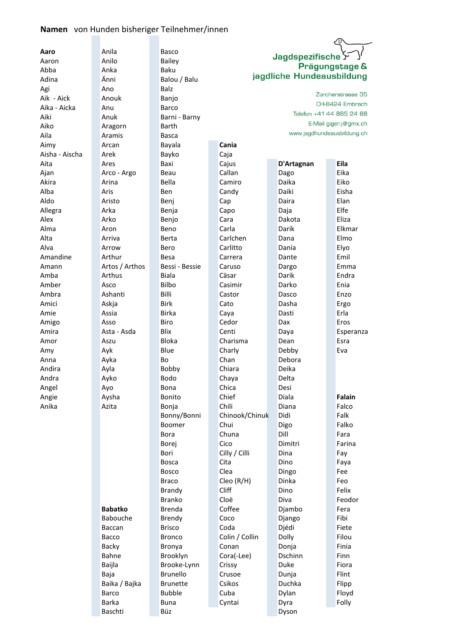# **Namen** von Hunden bisheriger Teilnehmer/innen

|                |                | Łΰ              |                          |                           |                            |  |  |  |  |  |
|----------------|----------------|-----------------|--------------------------|---------------------------|----------------------------|--|--|--|--|--|
| Aaro           | Anila          | Basco           |                          |                           |                            |  |  |  |  |  |
| Aaron          | Anilo          | <b>Bailey</b>   | Jagdspezifische Y        |                           |                            |  |  |  |  |  |
| Abba           | Anka           | Baku            | Prägungstage &           |                           |                            |  |  |  |  |  |
| Adina          | Änni           | Balou / Balu    |                          | jagdliche Hundeausbildung |                            |  |  |  |  |  |
| Agi            | Ano            | <b>Balz</b>     |                          |                           |                            |  |  |  |  |  |
| Aik - Aick     | Anouk          | Banjo           | Zürcherstrasse 35        |                           |                            |  |  |  |  |  |
| Aika - Aicka   | Anu            | Barco           | CH-8424 Embrach          |                           |                            |  |  |  |  |  |
| Aiki           | Anuk           | Barni - Barny   | Telefon +41 44 865 24 88 |                           |                            |  |  |  |  |  |
| Aiko           | Aragorn        | Barth           |                          |                           | E-Mail giger.j@gmx.ch      |  |  |  |  |  |
| Aila           | Aramis         | Basca           |                          |                           | www.jagdhundeausbildung.ch |  |  |  |  |  |
| Aimy           | Arcan          | Bayala          | Cania                    |                           |                            |  |  |  |  |  |
| Aisha - Aischa | Arek           | Bayko           | Caja                     |                           |                            |  |  |  |  |  |
| Aita           | Ares           | Baxi            | Cajus                    | D'Artagnan                | Eila                       |  |  |  |  |  |
| Ajan           | Arco - Argo    | Beau            | Callan                   | Dago                      | Eika                       |  |  |  |  |  |
| Akira          | Arina          | Bella           | Camiro                   | Daika                     | Eiko                       |  |  |  |  |  |
| Alba           | Aris           | <b>Ben</b>      | Candy                    | Daiki                     | Eisha                      |  |  |  |  |  |
| Aldo           | Aristo         | Benj            | Cap                      | Daira                     | Elan                       |  |  |  |  |  |
| Allegra        | Arka           |                 |                          |                           | Elfe                       |  |  |  |  |  |
| Alex           | Arko           | Benja           | Capo<br>Cara             | Daja<br>Dakota            | Eliza                      |  |  |  |  |  |
| Alma           |                | Benjo           | Carla                    | Darik                     | Elkmar                     |  |  |  |  |  |
|                | Aron           | Beno            |                          |                           |                            |  |  |  |  |  |
| Alta           | Arriva         | Berta           | Carlchen                 | Dana                      | Elmo                       |  |  |  |  |  |
| Alva           | Arrow          | Bero            | Carlitto                 | Dania                     | Elyo                       |  |  |  |  |  |
| Amandine       | Arthur         | Besa            | Carrera                  | Dante                     | Emil                       |  |  |  |  |  |
| Amann          | Artos / Arthos | Bessi - Bessie  | Caruso                   | Dargo                     | Emma                       |  |  |  |  |  |
| Amba           | Arthus         | <b>Biala</b>    | Cäsar                    | Darik                     | Endra                      |  |  |  |  |  |
| Amber          | Asco           | Bilbo           | Casimir                  | Darko                     | Enia                       |  |  |  |  |  |
| Ambra          | Ashanti        | Billi           | Castor                   | Dasco                     | Enzo                       |  |  |  |  |  |
| Amici          | Askja          | <b>Birk</b>     | Cato                     | Dasha                     | Ergo                       |  |  |  |  |  |
| Amie           | Assia          | <b>Birka</b>    | Caya                     | Dasti                     | Erla                       |  |  |  |  |  |
| Amigo          | Asso           | Biro            | Cedor                    | Dax                       | Eros                       |  |  |  |  |  |
| Amira          | Asta - Asda    | <b>Blix</b>     | Centi                    | Daya                      | Esperanza                  |  |  |  |  |  |
| Amor           | Aszu           | <b>Bloka</b>    | Charisma                 | Dean                      | Esra                       |  |  |  |  |  |
| Amy            | Ayk            | Blue            | Charly                   | Debby                     | Eva                        |  |  |  |  |  |
| Anna           | Ayka           | Bo              | Chan                     | Debora                    |                            |  |  |  |  |  |
| Andira         | Ayla           | Bobby           | Chiara                   | Deika                     |                            |  |  |  |  |  |
| Andra          | Ayko           | Bodo            | Chaya                    | Delta                     |                            |  |  |  |  |  |
| Angel          | Ayo            | <b>Bona</b>     | Chica                    | Desi                      |                            |  |  |  |  |  |
| Angie          | Aysha          | Bonito          | Chief                    | Diala                     | Falain                     |  |  |  |  |  |
| Anika          | Azita          | Bonja           | Chili                    | Diana                     | Falco                      |  |  |  |  |  |
|                |                | Bonny/Bonni     | Chinook/Chinuk           | Didi                      | Falk                       |  |  |  |  |  |
|                |                | Boomer          | Chui                     | Digo                      | Falko                      |  |  |  |  |  |
|                |                | <b>Bora</b>     | Chuna                    | Dill                      | Fara                       |  |  |  |  |  |
|                |                | Borej           | Cico                     | Dimitri                   | Farina                     |  |  |  |  |  |
|                |                | Bori            | Cilly / Cilli            | Dina                      | Fay                        |  |  |  |  |  |
|                |                | Bosca           | Cita                     | Dino                      | Faya                       |  |  |  |  |  |
|                |                | <b>Bosco</b>    | Clea                     | Dingo                     | Fee                        |  |  |  |  |  |
|                |                | <b>Braco</b>    | Cleo (R/H)               | Dinka                     | Feo                        |  |  |  |  |  |
|                |                | <b>Brandy</b>   | Cliff                    | Dino                      | Felix                      |  |  |  |  |  |
|                |                | <b>Branko</b>   | Cloë                     | Diva                      | Feodor                     |  |  |  |  |  |
|                | <b>Babatko</b> | <b>Brenda</b>   | Coffee                   | Djambo                    | Fera                       |  |  |  |  |  |
|                | Babouche       | Brendy          | Coco                     | Django                    | Fibi                       |  |  |  |  |  |
|                | Baccan         | <b>Brisco</b>   | Coda                     | Djédi                     | Fiete                      |  |  |  |  |  |
|                | Bacco          | <b>Bronco</b>   | Colin / Collin           | Dolly                     | Filou                      |  |  |  |  |  |
|                | Backy          | Bronya          | Conan                    | Donja                     | Finia                      |  |  |  |  |  |
|                | Bahne          | Brooklyn        | Cora(-Lee)               | Dschinn                   | Finn                       |  |  |  |  |  |
|                | Baijla         | Brooke-Lynn     | Crissy                   | Duke                      | Fiora                      |  |  |  |  |  |
|                | Baja           | <b>Brunello</b> | Crusoe                   | Dunja                     | Flint                      |  |  |  |  |  |
|                | Baika / Bajka  | <b>Brunette</b> | Csikos                   | Duchka                    | Flipp                      |  |  |  |  |  |
|                | Barco          | <b>Bubble</b>   | Cuba                     | Dylan                     | Floyd                      |  |  |  |  |  |
|                |                |                 |                          |                           |                            |  |  |  |  |  |
|                | Barka          | <b>Buna</b>     | Cyntai                   | Dyra                      | Folly                      |  |  |  |  |  |
|                | Baschti        | Büz             |                          | Dyson                     |                            |  |  |  |  |  |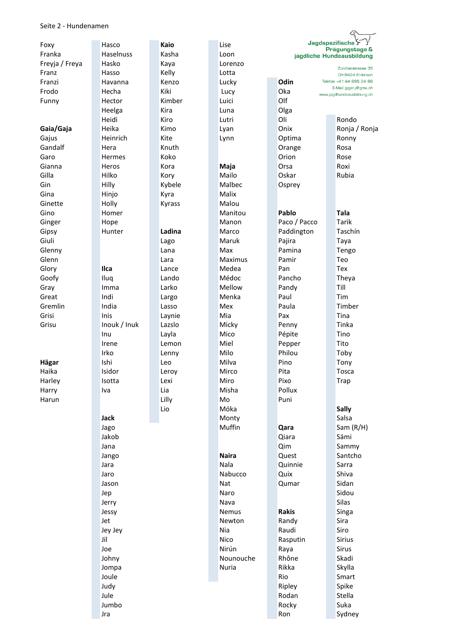#### Seite 2 - Hundenamen

| Foxy           | Hasco         |      | Kaio   |  | Jagdspezifische<br>Lise                             |  |                                                            |  |               |  |
|----------------|---------------|------|--------|--|-----------------------------------------------------|--|------------------------------------------------------------|--|---------------|--|
| Franka         | Haselnuss     |      | Kasha  |  | Prägungstage &<br>Loon<br>jagdliche Hundeausbildung |  |                                                            |  |               |  |
| Freyja / Freya | Hasko         |      | Kaya   |  | Lorenzo                                             |  |                                                            |  |               |  |
| Franz          | Hasso         |      | Kelly  |  | Lotta                                               |  | Zürcherstrasse 35<br>CH-8424 Embrach                       |  |               |  |
| Franzi         | Havanna       |      | Kenzo  |  | Lucky                                               |  | Odin<br>Telefon +41 44 865 24 88                           |  |               |  |
| Frodo          | Hecha         |      | Kiki   |  | Lucy                                                |  | E-Mail giger.j@gmx.ch<br>Oka<br>www.jagdhundeausbildung.ch |  |               |  |
| Funny          | Hector        |      | Kimber |  | Luici                                               |  | Olf                                                        |  |               |  |
|                | Heelga        |      | Kira   |  | Luna                                                |  | Olga                                                       |  |               |  |
|                | Heidi         |      | Kiro   |  | Lutri                                               |  | Oli                                                        |  | Rondo         |  |
| Gaia/Gaja      | Heika         |      | Kimo   |  | Lyan                                                |  | Onix                                                       |  | Ronja / Ronja |  |
| Gajus          | Heinrich      |      | Kite   |  | Lynn                                                |  | Optima                                                     |  | Ronny         |  |
| Gandalf        | Hera          |      | Knuth  |  |                                                     |  | Orange                                                     |  | Rosa          |  |
| Garo           | <b>Hermes</b> |      | Koko   |  |                                                     |  | Orion                                                      |  | Rose          |  |
| Gianna         | Heros         |      | Kora   |  | Maja                                                |  | Orsa                                                       |  | Roxi          |  |
| Gilla          | Hilko         |      | Kory   |  | Mailo                                               |  | Oskar                                                      |  | Rubia         |  |
| Gin            | Hilly         |      | Kybele |  | Malbec                                              |  | Osprey                                                     |  |               |  |
| Gina           | Hinjo         |      | Kyra   |  | Malix                                               |  |                                                            |  |               |  |
| Ginette        | Holly         |      | Kyrass |  | Malou                                               |  |                                                            |  |               |  |
| Gino           | Homer         |      |        |  | Manitou                                             |  | Pablo                                                      |  | <b>Tala</b>   |  |
| Ginger         | Hope          |      |        |  | Manon                                               |  | Paco / Pacco                                               |  | Tarik         |  |
| Gipsy          | Hunter        |      | Ladina |  | Marco                                               |  | Paddington                                                 |  | Taschín       |  |
| Giuli          |               |      | Lago   |  | Maruk                                               |  | Pajira                                                     |  | Taya          |  |
| Glenny         |               |      | Lana   |  | Max                                                 |  | Pamina                                                     |  | Tengo         |  |
| Glenn          |               |      | Lara   |  | Maximus                                             |  | Pamir                                                      |  | Teo           |  |
| Glory          | <b>Ilca</b>   |      | Lance  |  | Medea                                               |  | Pan                                                        |  | Tex           |  |
|                |               |      | Lando  |  | Médoc                                               |  | Pancho                                                     |  | Theya         |  |
| Goofy          | Iluq          |      |        |  |                                                     |  |                                                            |  | Till          |  |
| Gray           | Imma          |      | Larko  |  | Mellow                                              |  | Pandy                                                      |  | Tim           |  |
| Great          | Indi          |      | Largo  |  | Menka                                               |  | Paul                                                       |  |               |  |
| Gremlin        | India         |      | Lasso  |  | Mex                                                 |  | Paula                                                      |  | Timber        |  |
| Grisi          | Inis          |      | Laynie |  | Mia                                                 |  | Pax                                                        |  | Tina          |  |
| Grisu          | Inouk / Inuk  |      | Lazslo |  | Micky                                               |  | Penny                                                      |  | Tinka         |  |
|                | Inu           |      | Layla  |  | Mico                                                |  | Pépite                                                     |  | Tino          |  |
|                | Irene         |      | Lemon  |  | Miel                                                |  | Pepper                                                     |  | Tito          |  |
|                | Irko          |      | Lenny  |  | Milo                                                |  | Philou                                                     |  | Toby          |  |
| Hägar          | Ishi          |      | Leo    |  | Milva                                               |  | Pino                                                       |  | Tony          |  |
| Haika          | Isidor        |      | Leroy  |  | Mirco                                               |  | Pita                                                       |  | Tosca         |  |
| Harley         | Isotta        |      | Lexi   |  | Miro                                                |  | Pixo                                                       |  | <b>Trap</b>   |  |
| Harry          | Iva           |      | Lia    |  | Misha                                               |  | Pollux                                                     |  |               |  |
| Harun          |               |      | Lilly  |  | Mo                                                  |  | Puni                                                       |  |               |  |
|                |               |      | Lio    |  | Móka                                                |  |                                                            |  | <b>Sally</b>  |  |
|                | <b>Jack</b>   |      |        |  | Monty                                               |  |                                                            |  | Salsa         |  |
|                | Jago          |      |        |  | Muffin                                              |  | Qara                                                       |  | Sam $(R/H)$   |  |
|                | Jakob         |      |        |  |                                                     |  | Qiara                                                      |  | Sämi          |  |
|                | Jana          |      |        |  |                                                     |  | Qim                                                        |  | Sammy         |  |
|                | Jango         |      |        |  | <b>Naira</b>                                        |  | Quest                                                      |  | Santcho       |  |
|                | Jara          |      |        |  | Nala                                                |  | Quinnie                                                    |  | Sarra         |  |
|                | Jaro          |      |        |  | Nabucco                                             |  | Quix                                                       |  | Shiva         |  |
|                | Jason         |      |        |  | Nat                                                 |  | Qumar                                                      |  | Sidan         |  |
|                | Jep           |      |        |  | Naro                                                |  |                                                            |  | Sidou         |  |
|                | Jerry         |      |        |  | Nava                                                |  |                                                            |  | Silas         |  |
|                | Jessy         |      |        |  | Nemus                                               |  | <b>Rakis</b>                                               |  | Singa         |  |
|                | Jet           |      |        |  | Newton                                              |  | Randy                                                      |  | Sira          |  |
|                | Jey Jey       |      |        |  | Nia                                                 |  | Raudi                                                      |  | Siro          |  |
|                | Jil           |      |        |  | Nico                                                |  | Rasputin                                                   |  | Sirius        |  |
|                | Joe           |      |        |  | Nirún                                               |  | Raya                                                       |  | Sirus         |  |
|                | Johny         |      |        |  | Nounouche                                           |  | Rhône                                                      |  | Skadi         |  |
|                | Jompa         |      |        |  | Nuria                                               |  | Rikka                                                      |  | Skylla        |  |
|                | Joule         |      |        |  |                                                     |  | Rio                                                        |  | Smart         |  |
|                |               | Judy |        |  |                                                     |  | Ripley                                                     |  | Spike         |  |
|                | Jule          |      |        |  |                                                     |  | Rodan                                                      |  | Stella        |  |
|                | Jumbo         |      |        |  |                                                     |  | Rocky                                                      |  | Suka          |  |
|                |               | Jra  |        |  |                                                     |  | Ron                                                        |  | Sydney        |  |

 $\curvearrowleft$ 

 $\overline{\phantom{0}}$